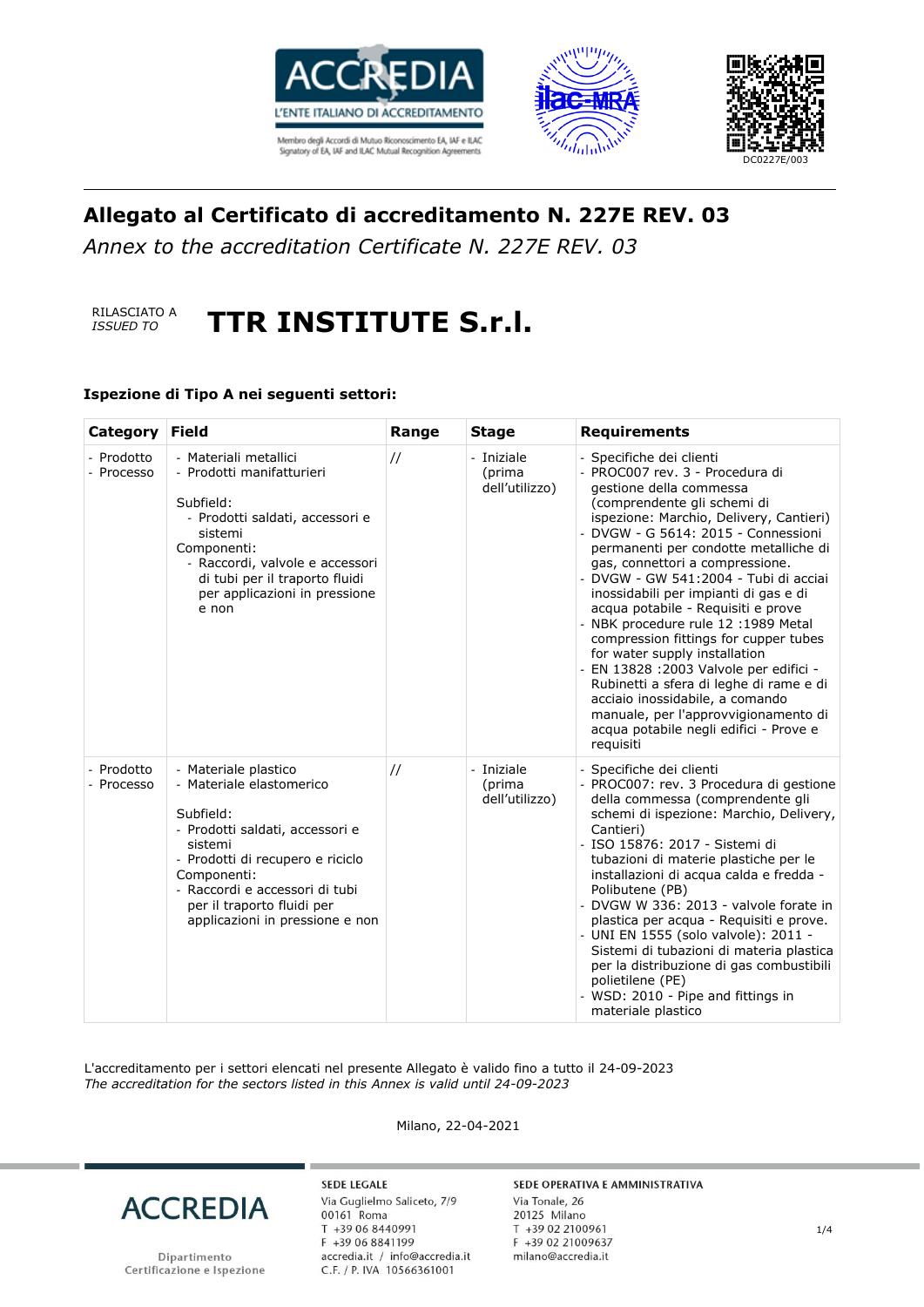





*Annex to the accreditation Certificate N. 227E REV. 03*



# *ISSUED TO* **TTR INSTITUTE S.r.l.**

### **Ispezione di Tipo A nei seguenti settori:**

| Category                 | <b>Field</b>                                                                                                                                                                                                                                                      | Range         | <b>Stage</b>                           | <b>Requirements</b>                                                                                                                                                                                                                                                                                                                                                                                                                                                                                                                                                                                                                                                                                                                                  |
|--------------------------|-------------------------------------------------------------------------------------------------------------------------------------------------------------------------------------------------------------------------------------------------------------------|---------------|----------------------------------------|------------------------------------------------------------------------------------------------------------------------------------------------------------------------------------------------------------------------------------------------------------------------------------------------------------------------------------------------------------------------------------------------------------------------------------------------------------------------------------------------------------------------------------------------------------------------------------------------------------------------------------------------------------------------------------------------------------------------------------------------------|
| - Prodotto<br>- Processo | - Materiali metallici<br>- Prodotti manifatturieri<br>Subfield:<br>- Prodotti saldati, accessori e<br>sistemi<br>Componenti:<br>- Raccordi, valvole e accessori<br>di tubi per il traporto fluidi<br>per applicazioni in pressione<br>e non                       | $\frac{1}{2}$ | - Iniziale<br>(prima<br>dell'utilizzo) | - Specifiche dei clienti<br>- PROC007 rev. 3 - Procedura di<br>gestione della commessa<br>(comprendente gli schemi di<br>ispezione: Marchio, Delivery, Cantieri)<br>- DVGW - G 5614: 2015 - Connessioni<br>permanenti per condotte metalliche di<br>gas, connettori a compressione.<br>- DVGW - GW 541:2004 - Tubi di acciai<br>inossidabili per impianti di gas e di<br>acqua potabile - Requisiti e prove<br>- NBK procedure rule 12 :1989 Metal<br>compression fittings for cupper tubes<br>for water supply installation<br>- EN 13828 : 2003 Valvole per edifici -<br>Rubinetti a sfera di leghe di rame e di<br>acciaio inossidabile, a comando<br>manuale, per l'approvvigionamento di<br>acqua potabile negli edifici - Prove e<br>requisiti |
| - Prodotto<br>- Processo | - Materiale plastico<br>- Materiale elastomerico<br>Subfield:<br>- Prodotti saldati, accessori e<br>sistemi<br>- Prodotti di recupero e riciclo<br>Componenti:<br>- Raccordi e accessori di tubi<br>per il traporto fluidi per<br>applicazioni in pressione e non | $\frac{1}{2}$ | - Iniziale<br>(prima<br>dell'utilizzo) | - Specifiche dei clienti<br>- PROC007: rev. 3 Procedura di gestione<br>della commessa (comprendente gli<br>schemi di ispezione: Marchio, Delivery,<br>Cantieri)<br>- ISO 15876: 2017 - Sistemi di<br>tubazioni di materie plastiche per le<br>installazioni di acqua calda e fredda -<br>Polibutene (PB)<br>- DVGW W 336: 2013 - valvole forate in<br>plastica per acqua - Requisiti e prove.<br>- UNI EN 1555 (solo valvole): 2011 -<br>Sistemi di tubazioni di materia plastica<br>per la distribuzione di gas combustibili<br>polietilene (PE)<br>- WSD: 2010 - Pipe and fittings in<br>materiale plastico                                                                                                                                        |

L'accreditamento per i settori elencati nel presente Allegato è valido fino a tutto il 24-09-2023 *The accreditation for the sectors listed in this Annex is valid until 24-09-2023*

Milano, 22-04-2021



Dipartimento Certificazione e Ispezione

**SEDE LEGALE** Via Guglielmo Saliceto, 7/9 00161 Roma T +39 06 8440991 F +39 06 8841199 accredia.it / info@accredia.it<br>C.F. / P. IVA 10566361001

#### SEDE OPERATIVA E AMMINISTRATIVA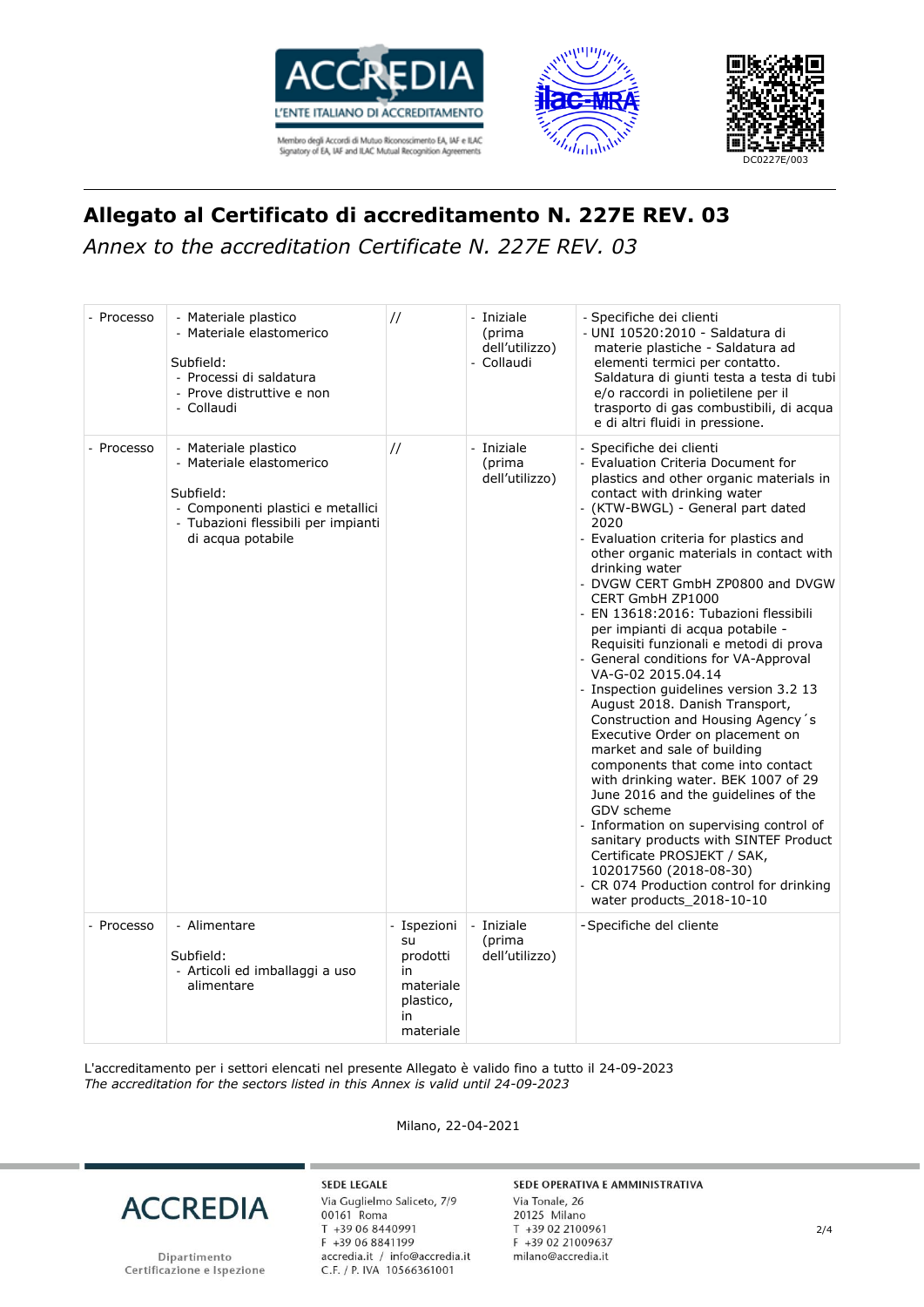





*Annex to the accreditation Certificate N. 227E REV. 03*

| - Processo | - Materiale plastico<br>- Materiale elastomerico<br>Subfield:<br>- Processi di saldatura<br>- Prove distruttive e non<br>- Collaudi                            | $\frac{1}{2}$                                                                    | - Iniziale<br>(prima<br>dell'utilizzo)<br>- Collaudi | - Specifiche dei clienti<br>- UNI 10520:2010 - Saldatura di<br>materie plastiche - Saldatura ad<br>elementi termici per contatto.<br>Saldatura di giunti testa a testa di tubi<br>e/o raccordi in polietilene per il<br>trasporto di gas combustibili, di acqua<br>e di altri fluidi in pressione.                                                                                                                                                                                                                                                                                                                                                                                                                                                                                                                                                                                                                                                                                                                                                                                  |
|------------|----------------------------------------------------------------------------------------------------------------------------------------------------------------|----------------------------------------------------------------------------------|------------------------------------------------------|-------------------------------------------------------------------------------------------------------------------------------------------------------------------------------------------------------------------------------------------------------------------------------------------------------------------------------------------------------------------------------------------------------------------------------------------------------------------------------------------------------------------------------------------------------------------------------------------------------------------------------------------------------------------------------------------------------------------------------------------------------------------------------------------------------------------------------------------------------------------------------------------------------------------------------------------------------------------------------------------------------------------------------------------------------------------------------------|
| - Processo | - Materiale plastico<br>- Materiale elastomerico<br>Subfield:<br>- Componenti plastici e metallici<br>- Tubazioni flessibili per impianti<br>di acqua potabile | $\frac{1}{2}$                                                                    | - Iniziale<br>(prima<br>dell'utilizzo)               | - Specifiche dei clienti<br>- Evaluation Criteria Document for<br>plastics and other organic materials in<br>contact with drinking water<br>- (KTW-BWGL) - General part dated<br>2020<br>- Evaluation criteria for plastics and<br>other organic materials in contact with<br>drinking water<br>- DVGW CERT GmbH ZP0800 and DVGW<br>CERT GmbH ZP1000<br>- EN 13618:2016: Tubazioni flessibili<br>per impianti di acqua potabile -<br>Requisiti funzionali e metodi di prova<br>- General conditions for VA-Approval<br>VA-G-02 2015.04.14<br>- Inspection guidelines version 3.2 13<br>August 2018. Danish Transport,<br>Construction and Housing Agency's<br>Executive Order on placement on<br>market and sale of building<br>components that come into contact<br>with drinking water. BEK 1007 of 29<br>June 2016 and the guidelines of the<br>GDV scheme<br>- Information on supervising control of<br>sanitary products with SINTEF Product<br>Certificate PROSJEKT / SAK,<br>102017560 (2018-08-30)<br>- CR 074 Production control for drinking<br>water products_2018-10-10 |
| - Processo | - Alimentare<br>Subfield:<br>- Articoli ed imballaggi a uso<br>alimentare                                                                                      | - Ispezioni<br>su<br>prodotti<br>in<br>materiale<br>plastico,<br>in<br>materiale | - Iniziale<br>(prima<br>dell'utilizzo)               | - Specifiche del cliente                                                                                                                                                                                                                                                                                                                                                                                                                                                                                                                                                                                                                                                                                                                                                                                                                                                                                                                                                                                                                                                            |

L'accreditamento per i settori elencati nel presente Allegato è valido fino a tutto il 24-09-2023 *The accreditation for the sectors listed in this Annex is valid until 24-09-2023*



Dipartimento Certificazione e Ispezione

**SEDE LEGALE** Via Guglielmo Saliceto, 7/9 00161 Roma T +39 06 8440991 F +39 06 8841199 accredia.it / info@accredia.it<br>C.F. / P. IVA 10566361001

Milano, 22-04-2021

#### SEDE OPERATIVA E AMMINISTRATIVA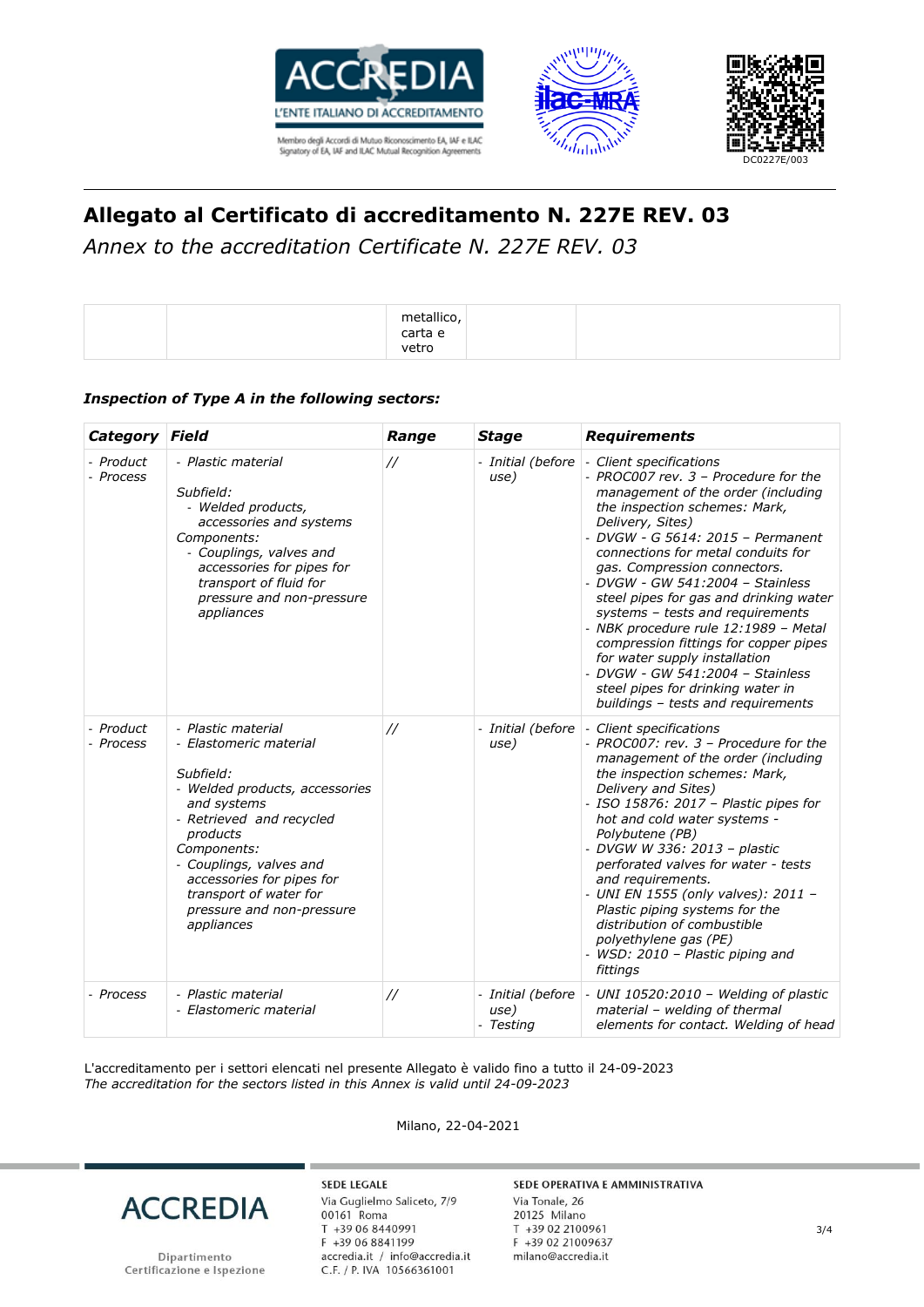





*Annex to the accreditation Certificate N. 227E REV. 03*

|  | metallico<br>carta e<br>vetro |  |
|--|-------------------------------|--|
|--|-------------------------------|--|

### *Inspection of Type A in the following sectors:*

| Category Field         |                                                                                                                                                                                                                                                                                                | Range             | <b>Stage</b>                           | <b>Requirements</b>                                                                                                                                                                                                                                                                                                                                                                                                                                                                                                                                                                                                      |
|------------------------|------------------------------------------------------------------------------------------------------------------------------------------------------------------------------------------------------------------------------------------------------------------------------------------------|-------------------|----------------------------------------|--------------------------------------------------------------------------------------------------------------------------------------------------------------------------------------------------------------------------------------------------------------------------------------------------------------------------------------------------------------------------------------------------------------------------------------------------------------------------------------------------------------------------------------------------------------------------------------------------------------------------|
| - Product<br>- Process | - Plastic material<br>Subfield:<br>- Welded products,<br>accessories and systems<br>Components:<br>- Couplings, valves and<br>accessories for pipes for<br>transport of fluid for<br>pressure and non-pressure<br>appliances                                                                   | $\frac{1}{2}$     | - Initial (before<br>use)              | - Client specifications<br>- PROC007 rev. 3 - Procedure for the<br>management of the order (including<br>the inspection schemes: Mark,<br>Delivery, Sites)<br>- DVGW - G 5614: 2015 - Permanent<br>connections for metal conduits for<br>gas. Compression connectors.<br>- DVGW - GW 541:2004 - Stainless<br>steel pipes for gas and drinking water<br>systems - tests and requirements<br>- NBK procedure rule 12:1989 - Metal<br>compression fittings for copper pipes<br>for water supply installation<br>- DVGW - GW 541:2004 - Stainless<br>steel pipes for drinking water in<br>buildings - tests and requirements |
| - Product<br>- Process | - Plastic material<br>- Elastomeric material<br>Subfield:<br>- Welded products, accessories<br>and systems<br>- Retrieved and recycled<br>products<br>Components:<br>- Couplings, valves and<br>accessories for pipes for<br>transport of water for<br>pressure and non-pressure<br>appliances | $^{\prime\prime}$ | - Initial (before<br>use)              | - Client specifications<br>- PROC007: rev. 3 - Procedure for the<br>management of the order (including<br>the inspection schemes: Mark,<br>Delivery and Sites)<br>- ISO 15876: 2017 - Plastic pipes for<br>hot and cold water systems -<br>Polybutene (PB)<br>- DVGW W 336: 2013 - plastic<br>perforated valves for water - tests<br>and requirements.<br>- UNI EN 1555 (only valves): 2011 -<br>Plastic piping systems for the<br>distribution of combustible<br>polyethylene gas (PE)<br>WSD: 2010 - Plastic piping and<br>fittings                                                                                    |
| - Process              | - Plastic material<br>- Elastomeric material                                                                                                                                                                                                                                                   | $\frac{1}{2}$     | - Initial (before<br>use)<br>- Testing | - UNI 10520:2010 - Welding of plastic<br>material - welding of thermal<br>elements for contact. Welding of head                                                                                                                                                                                                                                                                                                                                                                                                                                                                                                          |

L'accreditamento per i settori elencati nel presente Allegato è valido fino a tutto il 24-09-2023 *The accreditation for the sectors listed in this Annex is valid until 24-09-2023*

Milano, 22-04-2021



Dipartimento Certificazione e Ispezione

**SEDE LEGALE** Via Guglielmo Saliceto, 7/9 00161 Roma T +39 06 8440991 F +39 06 8841199 accredia.it / info@accredia.it<br>C.F. / P. IVA 10566361001

#### SEDE OPERATIVA E AMMINISTRATIVA